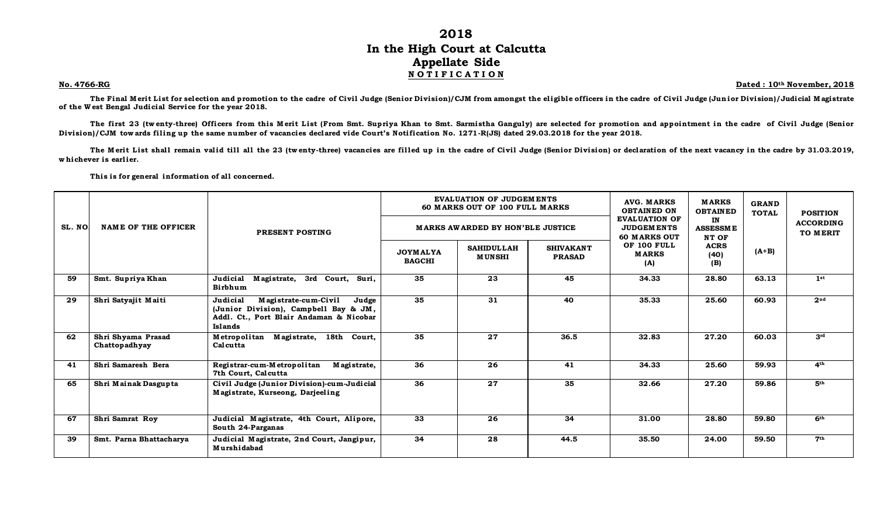## **2018 In the High Court at Calcutta Appellate Side N O T I F I C A T I O N**

**No. 4766-RG Dated : 10th November, 2018**

The Final Merit List for selection and promotion to the cadre of Civil Judge (Senior Division)/CJM from amongst the eligible officers in the cadre of Civil Judge (Junior Division)/Judicial M agistrate **of the W est Bengal Judicial Service for the year 2018.**

The first 23 (twenty-three) Officers from this Merit List (From Smt. Supriya Khan to Smt. Sarmistha Ganguly) are selected for promotion and appointment in the cadre of Civil Judge (Senior Division)/CJM tow ards filing up the same number of vacancies declared vide Court's Notification No. 1271-R(JS) dated 29.03.2018 for the year 2018.

The M erit List shall remain valid till all the 23 (tw enty-three) vacancies are filled up in the cadre of Civil Judge (Senior Division) or declaration of the next vacancy in the cadre by 31.03.2019, whichever is earlier.

This is for general information of all concerned.

|        |                                     |                                                                                                                                          |                                  | <b>EVALUATION OF JUDGEMENTS</b><br>60 MARKS OUT OF 100 FULL MARKS |                                   | AVG. MARKS<br><b>OBTAINED ON</b><br><b>EVALUATION OF</b>                                      | <b>MARKS</b><br><b>OBTAINED</b><br>IN<br><b>ASSESSME</b><br>NT OF<br><b>ACRS</b> | <b>GRAND</b><br><b>TOTAL</b> | <b>POSITION</b><br><b>ACCORDING</b> |
|--------|-------------------------------------|------------------------------------------------------------------------------------------------------------------------------------------|----------------------------------|-------------------------------------------------------------------|-----------------------------------|-----------------------------------------------------------------------------------------------|----------------------------------------------------------------------------------|------------------------------|-------------------------------------|
| SL. NO | <b>NAME OF THE OFFICER</b>          | PRESENT POSTING                                                                                                                          |                                  | <b>MARKS AWARDED BY HON'BLE JUSTICE</b>                           |                                   | <b>JUDGEMENTS</b><br><b>60 MARKS OUT</b><br>OF 100 FULL<br><b>MARKS</b><br>(40)<br>(B)<br>(A) |                                                                                  |                              | TO MERIT                            |
|        |                                     |                                                                                                                                          | <b>JOYMALYA</b><br><b>BAGCHI</b> | <b>SAHIDULLAH</b><br><b>MUNSHI</b>                                | <b>SHIVAKANT</b><br><b>PRASAD</b> |                                                                                               |                                                                                  | $(A+B)$                      |                                     |
| 59     | Smt. Supriya Khan                   | Judicial<br>Magistrate, 3rd Court, Suri,<br>Birbhum                                                                                      | 35                               | 23                                                                | 45                                | 34.33                                                                                         | 28.80                                                                            | 63.13                        | 1st                                 |
| 29     | Shri Satyajit Maiti                 | Judicial<br>Magistrate-cum-Civil<br>Judge<br>(Junior Division), Campbell Bay & JM,<br>Addl. Ct., Port Blair Andaman & Nicobar<br>Islands | 35                               | 31                                                                | 40                                | 35.33                                                                                         | 25.60                                                                            | 60.93                        | 2 <sup>nd</sup>                     |
| 62     | Shri Shyama Prasad<br>Chattopadhyay | Metropolitan Magistrate,<br>18th Court,<br>Calcutta                                                                                      | 35                               | $\overline{27}$                                                   | 36.5                              | 32.83                                                                                         | 27.20                                                                            | 60.03                        | 3 <sup>rd</sup>                     |
| 41     | Shri Samaresh Bera                  | Registrar-cum-Metropolitan<br>Magistrate,<br>7th Court, Calcutta                                                                         | 36                               | 26                                                                | 41                                | 34.33                                                                                         | 25.60                                                                            | 59.93                        | 4 <sup>th</sup>                     |
| 65     | Shri Mainak Dasgupta                | Civil Judge (Junior Division)-cum-Judicial<br>Magistrate, Kurseong, Darjeeling                                                           | 36                               | 27                                                                | 35                                | 32.66                                                                                         | 27.20                                                                            | 59.86                        | 5 <sup>th</sup>                     |
| 67     | Shri Samrat Roy                     | Judicial Magistrate, 4th Court, Alipore,<br>South 24-Parganas                                                                            | 33                               | 26                                                                | 34                                | 31.00                                                                                         | 28.80                                                                            | 59.80                        | 6 <sup>th</sup>                     |
| 39     | Smt. Parna Bhattacharya             | Judicial Magistrate, 2nd Court, Jangipur,<br>Murshidabad                                                                                 | 34                               | 28                                                                | 44.5                              | 35.50                                                                                         | 24.00                                                                            | 59.50                        | 7 <sup>th</sup>                     |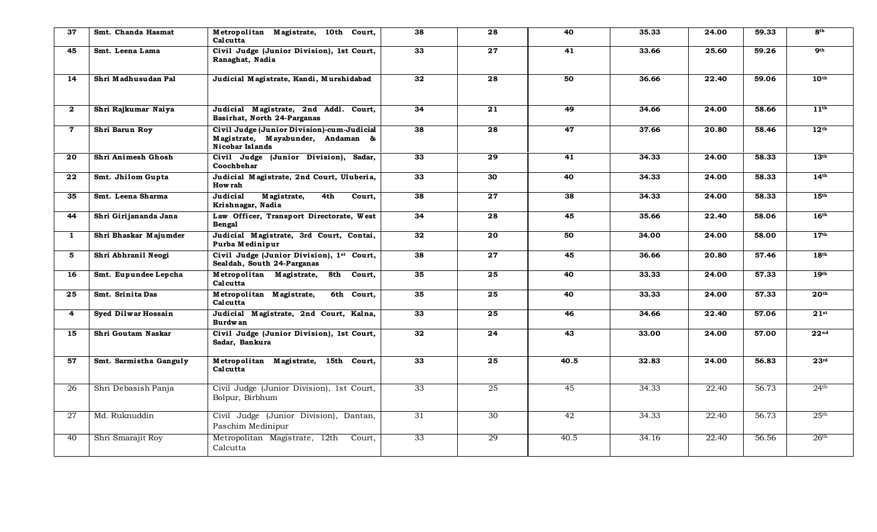| 37              | Smt. Chanda Hasmat     | Metropolitan Magistrate, 10th Court,<br>Calcutta                                                   | 38 | 28              | 40   | 35.33 | 24.00 | 59.33 | 8 <sup>th</sup>  |
|-----------------|------------------------|----------------------------------------------------------------------------------------------------|----|-----------------|------|-------|-------|-------|------------------|
| 45              | Smt. Leena Lama        | Civil Judge (Junior Division), 1st Court,<br>Ranaghat, Nadia                                       | 33 | 27              | 41   | 33.66 | 25.60 | 59.26 | 9 <sup>th</sup>  |
| 14              | Shri Madhusudan Pal    | Judicial Magistrate, Kandi, Murshidabad                                                            | 32 | 28              | 50   | 36.66 | 22.40 | 59.06 | 10 <sup>th</sup> |
| $\mathbf{2}$    | Shri Rajkumar Naiya    | Judicial Magistrate, 2nd Addl. Court,<br>Basirhat, North 24-Parganas                               | 34 | $\overline{21}$ | 49   | 34.66 | 24.00 | 58.66 | 11 <sup>th</sup> |
| $\mathbf 7$     | Shri Barun Roy         | Civil Judge (Junior Division)-cum-Judicial<br>Magistrate, Mayabunder, Andaman &<br>Nicobar Islands | 38 | 28              | 47   | 37.66 | 20.80 | 58.46 | 12 <sup>th</sup> |
| 20              | Shri Animesh Ghosh     | Civil Judge (Junior Division), Sadar,<br>Coochbehar                                                | 33 | 29              | 41   | 34.33 | 24.00 | 58.33 | 13 <sup>th</sup> |
| 22              | Smt. Jhilom Gupta      | Judicial Magistrate, 2nd Court, Uluberia,<br><b>How rah</b>                                        | 33 | 30              | 40   | 34.33 | 24.00 | 58.33 | 14 <sup>th</sup> |
| 35              | Smt. Leena Sharma      | Judicial<br>Magistrate,<br>4th<br>Court,<br>Krishnagar, Nadia                                      | 38 | 27              | 38   | 34.33 | 24.00 | 58.33 | 15 <sup>th</sup> |
| 44              | Shri Girijananda Jana  | Law Officer, Transport Directorate, West<br>Bengal                                                 | 34 | 28              | 45   | 35.66 | 22.40 | 58.06 | 16 <sup>th</sup> |
| $\mathbf{1}$    | Shri Bhaskar Majumder  | Judicial Magistrate, 3rd Court, Contai,<br>Purba Medinipur                                         | 32 | 20              | 50   | 34.00 | 24.00 | 58.00 | 17 <sup>th</sup> |
| 5               | Shri Abhranil Neogi    | Civil Judge (Junior Division), 1st Court,<br>Sealdah, South 24-Parganas                            | 38 | 27              | 45   | 36.66 | 20.80 | 57.46 | 18 <sup>th</sup> |
| 16              | Smt. Eupundee Lepcha   | Metropolitan Magistrate,<br>8th Court.<br>Calcutta                                                 | 35 | 25              | 40   | 33.33 | 24.00 | 57.33 | 19 <sup>th</sup> |
| 25              | Smt. Srinita Das       | Metropolitan Magistrate,<br>6th Court.<br>Calcutta                                                 | 35 | 25              | 40   | 33.33 | 24.00 | 57.33 | 20 <sup>th</sup> |
| $\overline{4}$  | Syed Dilwar Hossain    | Judicial Magistrate, 2nd Court, Kalna,<br><b>Burdwan</b>                                           | 33 | 25              | 46   | 34.66 | 22.40 | 57.06 | $21^{st}$        |
| 15              | Shri Goutam Naskar     | Civil Judge (Junior Division), 1st Court,<br>Sadar, Bankura                                        | 32 | 24              | 43   | 33.00 | 24.00 | 57.00 | 22 <sup>nd</sup> |
| 57              | Smt. Sarmistha Ganguly | Metropolitan Magistrate, 15th Court,<br>Calcutta                                                   | 33 | 25              | 40.5 | 32.83 | 24.00 | 56.83 | 23 <sup>rd</sup> |
| $\overline{26}$ | Shri Debasish Panja    | Civil Judge (Junior Division), 1st Court,<br>Bolpur, Birbhum                                       | 33 | 25              | 45   | 34.33 | 22.40 | 56.73 | 24 <sup>th</sup> |
| 27              | Md. Ruknuddin          | Civil Judge (Junior Division), Dantan,<br>Paschim Medinipur                                        | 31 | 30 <sup>2</sup> | 42   | 34.33 | 22.40 | 56.73 | 25 <sup>th</sup> |
| 40              | Shri Smarajit Roy      | Metropolitan Magistrate, 12th<br>Court,<br>Calcutta                                                | 33 | 29              | 40.5 | 34.16 | 22.40 | 56.56 | 26 <sup>th</sup> |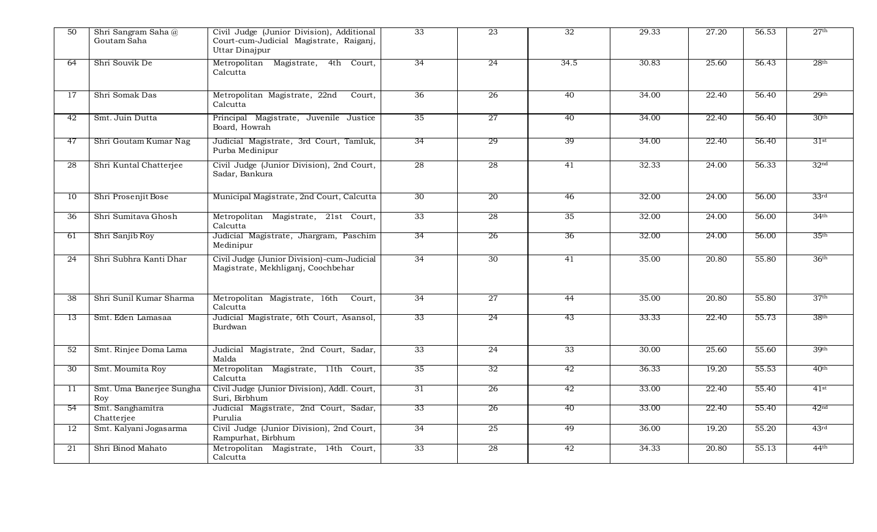| 50 | Shri Sangram Saha@<br>Goutam Saha | Civil Judge (Junior Division), Additional<br>Court-cum-Judicial Magistrate, Raiganj,<br>Uttar Dinajpur | 33              | 23 | 32   | 29.33 | 27.20 | 56.53 | 27 <sup>th</sup> |
|----|-----------------------------------|--------------------------------------------------------------------------------------------------------|-----------------|----|------|-------|-------|-------|------------------|
| 64 | Shri Souvik De                    | Metropolitan Magistrate, 4th Court,<br>Calcutta                                                        | 34              | 24 | 34.5 | 30.83 | 25.60 | 56.43 | 28 <sup>th</sup> |
| 17 | Shri Somak Das                    | Metropolitan Magistrate, 22nd<br>Court,<br>Calcutta                                                    | 36              | 26 | 40   | 34.00 | 22.40 | 56.40 | 29 <sup>th</sup> |
| 42 | Smt. Juin Dutta                   | Principal Magistrate, Juvenile Justice<br>Board, Howrah                                                | 35              | 27 | 40   | 34.00 | 22.40 | 56.40 | 30 <sup>th</sup> |
| 47 | Shri Goutam Kumar Nag             | Judicial Magistrate, 3rd Court, Tamluk,<br>Purba Medinipur                                             | 34              | 29 | 39   | 34.00 | 22.40 | 56.40 | 31st             |
| 28 | Shri Kuntal Chatterjee            | Civil Judge (Junior Division), 2nd Court,<br>Sadar, Bankura                                            | 28              | 28 | 41   | 32.33 | 24.00 | 56.33 | 32 <sup>nd</sup> |
| 10 | Shri Prosenjit Bose               | Municipal Magistrate, 2nd Court, Calcutta                                                              | 30 <sup>2</sup> | 20 | 46   | 32.00 | 24.00 | 56.00 | 33 <sup>rd</sup> |
| 36 | Shri Sumitava Ghosh               | Metropolitan Magistrate, 21st Court,<br>Calcutta                                                       | 33              | 28 | 35   | 32.00 | 24.00 | 56.00 | 34 <sup>th</sup> |
| 61 | Shri Sanjib Roy                   | Judicial Magistrate, Jhargram, Paschim<br>Medinipur                                                    | 34              | 26 | 36   | 32.00 | 24.00 | 56.00 | 35 <sup>th</sup> |
| 24 | Shri Subhra Kanti Dhar            | Civil Judge (Junior Division)-cum-Judicial<br>Magistrate, Mekhliganj, Coochbehar                       | 34              | 30 | 41   | 35.00 | 20.80 | 55.80 | 36 <sup>th</sup> |
| 38 | Shri Sunil Kumar Sharma           | Metropolitan Magistrate, 16th<br>Court,<br>Calcutta                                                    | 34              | 27 | 44   | 35.00 | 20.80 | 55.80 | 37 <sup>th</sup> |
| 13 | Smt. Eden Lamasaa                 | Judicial Magistrate, 6th Court, Asansol,<br>Burdwan                                                    | 33              | 24 | -43  | 33.33 | 22.40 | 55.73 | 38 <sup>th</sup> |
| 52 | Smt. Rinjee Doma Lama             | Judicial Magistrate, 2nd Court, Sadar,<br>Malda                                                        | 33              | 24 | 33   | 30.00 | 25.60 | 55.60 | 39 <sup>th</sup> |
| 30 | Smt. Moumita Roy                  | Metropolitan Magistrate, 11th Court,<br>Calcutta                                                       | 35              | 32 | 42   | 36.33 | 19.20 | 55.53 | 40 <sup>th</sup> |
| 11 | Smt. Uma Banerjee Sungha<br>Roy   | Civil Judge (Junior Division), Addl. Court,<br>Suri, Birbhum                                           | 31              | 26 | 42   | 33.00 | 22.40 | 55.40 | $41$ st          |
| 54 | Smt. Sanghamitra<br>Chatterjee    | Judicial Magistrate, 2nd Court, Sadar,<br>Purulia                                                      | 33              | 26 | 40   | 33.00 | 22.40 | 55.40 | 42 <sup>nd</sup> |
| 12 | Smt. Kalyani Jogasarma            | Civil Judge (Junior Division), 2nd Court,<br>Rampurhat, Birbhum                                        | 34              | 25 | 49   | 36.00 | 19.20 | 55.20 | 43 <sup>rd</sup> |
| 21 | Shri Binod Mahato                 | Metropolitan Magistrate, 14th Court,<br>Calcutta                                                       | 33              | 28 | 42   | 34.33 | 20.80 | 55.13 | 44 <sup>th</sup> |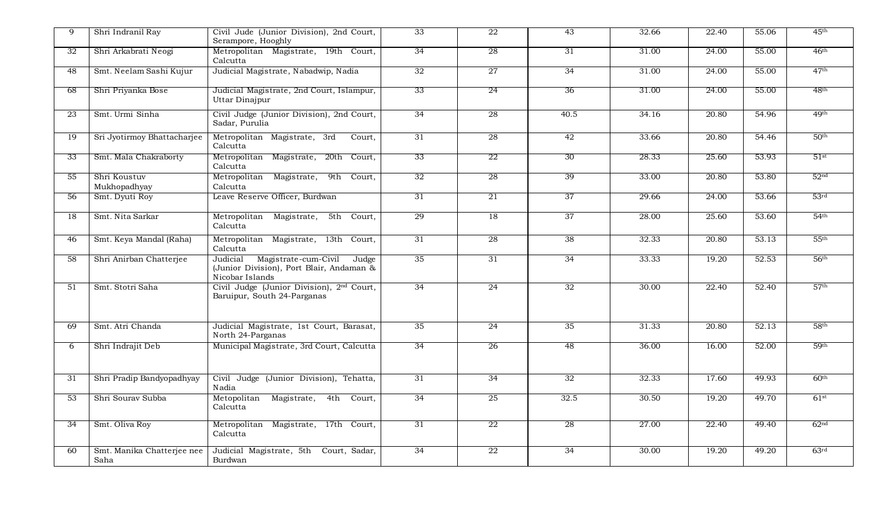| 9  | Shri Indranil Ray                  | Civil Jude (Junior Division), 2nd Court,<br>Serampore, Hooghly                                           | 33 | 22 | 43   | 32.66 | 22.40 | 55.06 | 45 <sup>th</sup> |
|----|------------------------------------|----------------------------------------------------------------------------------------------------------|----|----|------|-------|-------|-------|------------------|
| 32 | Shri Arkabrati Neogi               | Metropolitan Magistrate, 19th Court,<br>Calcutta                                                         | 34 | 28 | 31   | 31.00 | 24.00 | 55.00 | 46 <sup>th</sup> |
| 48 | Smt. Neelam Sashi Kujur            | Judicial Magistrate, Nabadwip, Nadia                                                                     | 32 | 27 | 34   | 31.00 | 24.00 | 55.00 | 47 <sup>th</sup> |
| 68 | Shri Priyanka Bose                 | Judicial Magistrate, 2nd Court, Islampur,<br>Uttar Dinajpur                                              | 33 | 24 | 36   | 31.00 | 24.00 | 55.00 | 48 <sup>th</sup> |
| 23 | Smt. Urmi Sinha                    | Civil Judge (Junior Division), 2nd Court,<br>Sadar, Purulia                                              | 34 | 28 | 40.5 | 34.16 | 20.80 | 54.96 | 49 <sup>th</sup> |
| 19 | Sri Jyotirmoy Bhattacharjee        | Metropolitan Magistrate, 3rd<br>Court,<br>Calcutta                                                       | 31 | 28 | 42   | 33.66 | 20.80 | 54.46 | 50 <sup>th</sup> |
| 33 | Smt. Mala Chakraborty              | Metropolitan Magistrate,<br>20th Court,<br>Calcutta                                                      | 33 | 22 | 30   | 28.33 | 25.60 | 53.93 | $51$ st          |
| 55 | Shri Koustuv<br>Mukhopadhyay       | Metropolitan<br>Magistrate,<br>9th Court,<br>Calcutta                                                    | 32 | 28 | 39   | 33.00 | 20.80 | 53.80 | 52 <sup>nd</sup> |
| 56 | Smt. Dyuti Roy                     | Leave Reserve Officer, Burdwan                                                                           | 31 | 21 | 37   | 29.66 | 24.00 | 53.66 | 53 <sup>rd</sup> |
| 18 | Smt. Nita Sarkar                   | Metropolitan<br>Magistrate,<br>5th Court,<br>Calcutta                                                    | 29 | 18 | 37   | 28.00 | 25.60 | 53.60 | 54 <sup>th</sup> |
| 46 | Smt. Keya Mandal (Raha)            | Metropolitan Magistrate, 13th Court,<br>Calcutta                                                         | 31 | 28 | 38   | 32.33 | 20.80 | 53.13 | 55 <sup>th</sup> |
| 58 | Shri Anirban Chatterjee            | Magistrate-cum-Civil<br>Judicial<br>Judge<br>(Junior Division), Port Blair, Andaman &<br>Nicobar Islands | 35 | 31 | 34   | 33.33 | 19.20 | 52.53 | 56 <sup>th</sup> |
| 51 | Smt. Stotri Saha                   | Civil Judge (Junior Division), 2nd Court,<br>Baruipur, South 24-Parganas                                 | 34 | 24 | 32   | 30.00 | 22.40 | 52.40 | 57 <sup>th</sup> |
| 69 | Smt. Atri Chanda                   | Judicial Magistrate, 1st Court, Barasat,<br>North 24-Parganas                                            | 35 | 24 | 35   | 31.33 | 20.80 | 52.13 | 58 <sup>th</sup> |
| 6  | Shri Indrajit Deb                  | Municipal Magistrate, 3rd Court, Calcutta                                                                | 34 | 26 | 48   | 36.00 | 16.00 | 52.00 | 59 <sup>th</sup> |
| 31 | Shri Pradip Bandyopadhyay          | Civil Judge (Junior Division), Tehatta,<br>Nadia                                                         | 31 | 34 | 32   | 32.33 | 17.60 | 49.93 | 60 <sup>th</sup> |
| 53 | Shri Sourav Subba                  | Metopolitan<br>Magistrate,<br>4th Court,<br>Calcutta                                                     | 34 | 25 | 32.5 | 30.50 | 19.20 | 49.70 | 61 <sup>st</sup> |
| 34 | Smt. Oliva Roy                     | Metropolitan Magistrate, 17th Court,<br>Calcutta                                                         | 31 | 22 | 28   | 27.00 | 22.40 | 49.40 | 62 <sup>nd</sup> |
| 60 | Smt. Manika Chatterjee nee<br>Saha | Judicial Magistrate, 5th Court, Sadar,<br>Burdwan                                                        | 34 | 22 | 34   | 30.00 | 19.20 | 49.20 | 63 <sup>rd</sup> |